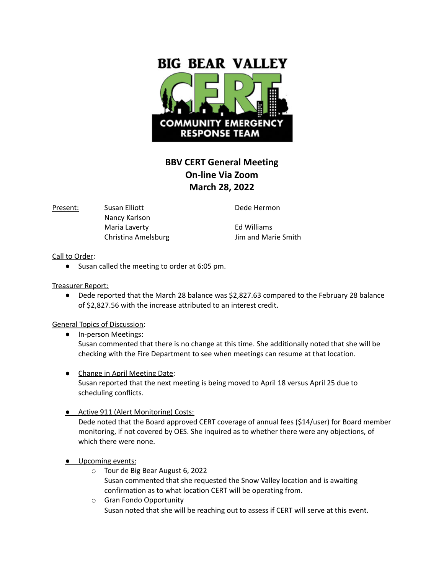

## **BBV CERT General Meeting On-line Via Zoom March 28, 2022**

Present: Susan Elliott **Dede Hermon** Nancy Karlson Maria Laverty **Ed Williams** 

Christina Amelsburg **Jim and Marie Smith** 

## Call to Order:

● Susan called the meeting to order at 6:05 pm.

Treasurer Report:

● Dede reported that the March 28 balance was \$2,827.63 compared to the February 28 balance of \$2,827.56 with the increase attributed to an interest credit.

General Topics of Discussion:

- In-person Meetings: Susan commented that there is no change at this time. She additionally noted that she will be checking with the Fire Department to see when meetings can resume at that location.
- Change in April Meeting Date: Susan reported that the next meeting is being moved to April 18 versus April 25 due to scheduling conflicts.
- Active 911 (Alert Monitoring) Costs:

Dede noted that the Board approved CERT coverage of annual fees (\$14/user) for Board member monitoring, if not covered by OES. She inquired as to whether there were any objections, of which there were none.

- **•** Upcoming events:
	- o Tour de Big Bear August 6, 2022 Susan commented that she requested the Snow Valley location and is awaiting confirmation as to what location CERT will be operating from.
	- o Gran Fondo Opportunity Susan noted that she will be reaching out to assess if CERT will serve at this event.